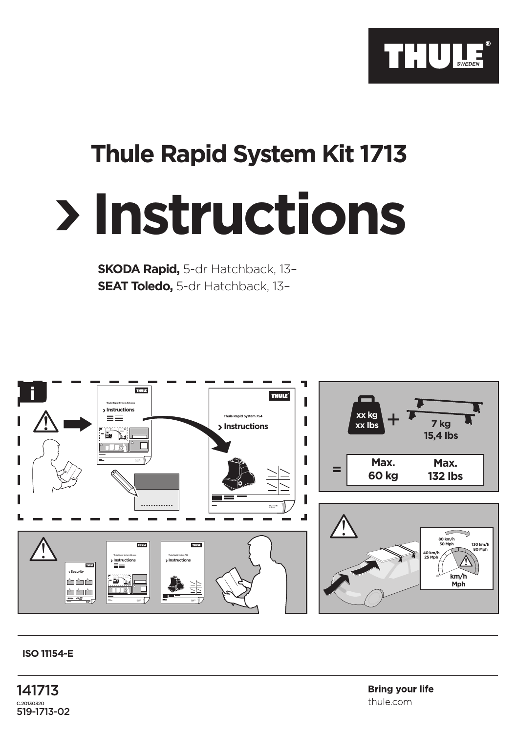

## **Thule Rapid System Kit 1713**

## **Instructions**

**SKODA Rapid,** 5-dr Hatchback, 13– **SEAT Toledo,** 5-dr Hatchback, 13–



## **ISO 11154-E**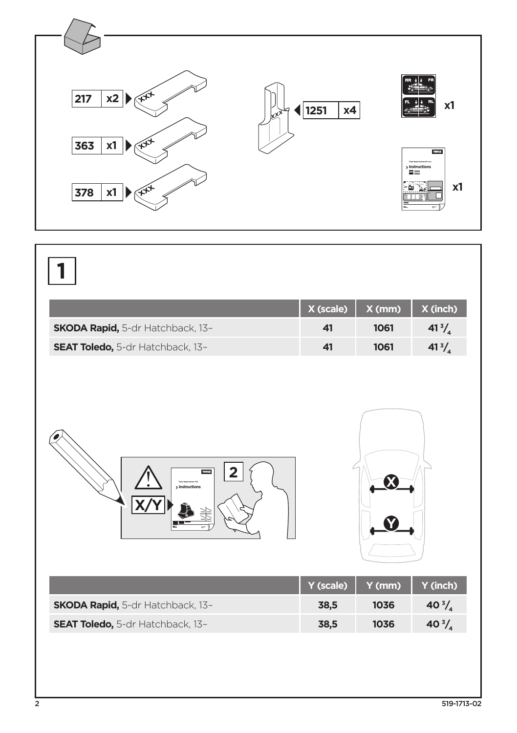

|                                  | X (scale) | X (mm) | X (inch)         |
|----------------------------------|-----------|--------|------------------|
| SKODA Rapid, 5-dr Hatchback, 13- | 41        | 1061   | 41 $\frac{3}{4}$ |
| SEAT Toledo, 5-dr Hatchback, 13- | 41        | 1061   | $41^{3}/_{4}$    |
| THULK<br>> Instructions          | Y (scale) | Y (mm) | Y (inch)         |
|                                  |           |        |                  |
| SKODA Rapid, 5-dr Hatchback, 13- | 38,5      | 1036   | 40 $\frac{3}{4}$ |
| SEAT Toledo, 5-dr Hatchback, 13- | 38,5      | 1036   | 40 $\frac{3}{4}$ |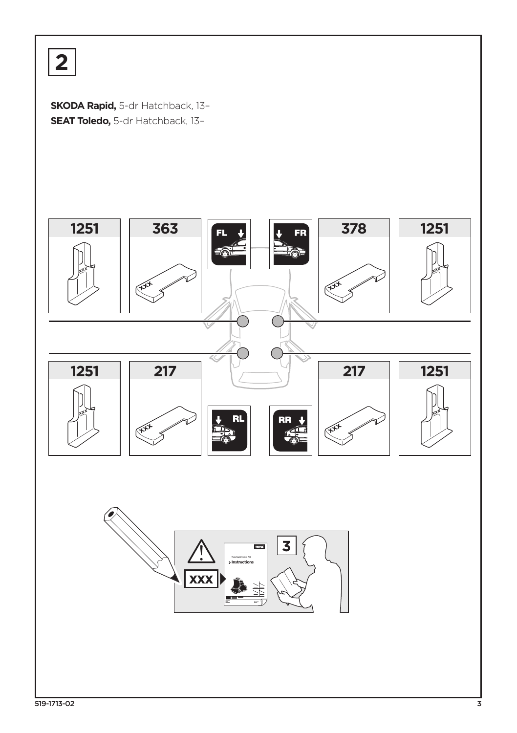